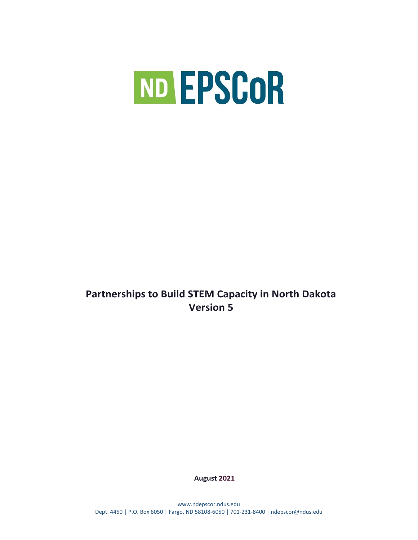

# **Partnerships to Build STEM Capacity in North Dakota Version 5**

**August 2021**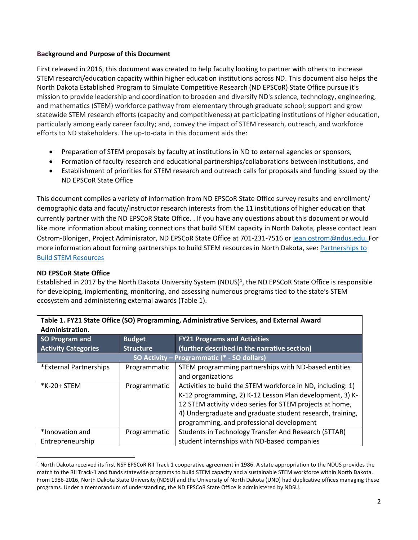#### **Background and Purpose of this Document**

First released in 2016, this document was created to help faculty looking to partner with others to increase STEM research/education capacity within higher education institutions across ND. This document also helps the North Dakota Established Program to Simulate Competitive Research (ND EPSCoR) State Office pursue it's mission to provide leadership and coordination to broaden and diversify ND's science, technology, engineering, and mathematics (STEM) workforce pathway from elementary through graduate school; support and grow statewide STEM research efforts (capacity and competitiveness) at participating institutions of higher education, particularly among early career faculty; and, convey the impact of STEM research, outreach, and workforce efforts to ND stakeholders. The up-to-data in this document aids the:

- Preparation of STEM proposals by faculty at institutions in ND to external agencies or sponsors,
- Formation of faculty research and educational partnerships/collaborations between institutions, and
- Establishment of priorities for STEM research and outreach calls for proposals and funding issued by the ND EPSCoR State Office

This document compiles a variety of information from ND EPSCoR State Office survey results and enrollment/ demographic data and facuty/instructor research interests from the 11 institutions of higher education that currently partner with the ND EPSCoR State Office. . If you have any questions about this document or would like more information about making connections that build STEM capacity in North Dakota, please contact Jean Ostrom-Blonigen, Project Adminisrator, ND EPSCoR State Office at 701-231-7516 or [jean.ostrom@ndus.edu.](mailto:scott.martin.hanson@ndsu.edu) For more information about forming partnerships to build STEM resources in North Dakota, see: [Partnerships to](https://www.ndepscor.ndus.edu/serving-our-state/partnershipstobuildstemcapacity/)  [Build STEM Resources](https://www.ndepscor.ndus.edu/serving-our-state/partnershipstobuildstemcapacity/)

# **ND EPSCoR State Office**

 $\overline{\phantom{a}}$ 

Established in 2017 by the North Dakota University System (NDUS)<sup>1</sup>, the ND EPSCoR State Office is responsible for developing, implementing, monitoring, and assessing numerous programs tied to the state's STEM ecosystem and administering external awards (Table 1).

**Table 1. FY21 State Office (SO) Programming, Administrative Services, and External Award** 

| Administration.            |                                                      |                                                             |  |  |  |  |
|----------------------------|------------------------------------------------------|-------------------------------------------------------------|--|--|--|--|
| SO Program and             | <b>FY21 Programs and Activities</b><br><b>Budget</b> |                                                             |  |  |  |  |
| <b>Activity Categories</b> | <b>Structure</b>                                     | (further described in the narrative section)                |  |  |  |  |
|                            |                                                      | SO Activity – Programmatic (* - SO dollars)                 |  |  |  |  |
| *External Partnerships     | Programmatic                                         | STEM programming partnerships with ND-based entities        |  |  |  |  |
|                            |                                                      | and organizations                                           |  |  |  |  |
| *K-20+ STEM                | Programmatic                                         | Activities to build the STEM workforce in ND, including: 1) |  |  |  |  |
|                            |                                                      | K-12 programming, 2) K-12 Lesson Plan development, 3) K-    |  |  |  |  |
|                            |                                                      | 12 STEM activity video series for STEM projects at home,    |  |  |  |  |
|                            |                                                      | 4) Undergraduate and graduate student research, training,   |  |  |  |  |
|                            |                                                      | programming, and professional development                   |  |  |  |  |
| *Innovation and            | Programmatic                                         | Students in Technology Transfer And Research (STTAR)        |  |  |  |  |
| Entrepreneurship           |                                                      | student internships with ND-based companies                 |  |  |  |  |

<sup>&</sup>lt;sup>1</sup> North Dakota received its first NSF EPSCoR RII Track 1 cooperative agreement in 1986. A state appropriation to the NDUS provides the match to the RII Track-1 and funds statewide programs to build STEM capacity and a sustainable STEM workforce within North Dakota. From 1986-2016, North Dakota State University (NDSU) and the University of North Dakota (UND) had duplicative offices managing these programs. Under a memorandum of understanding, the ND EPSCoR State Office is administered by NDSU.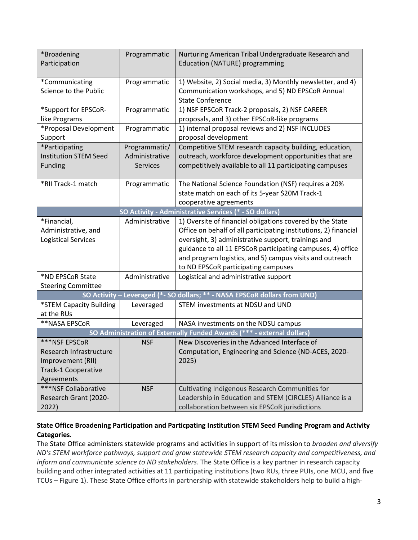| *Broadening<br>Programmatic<br>Nurturing American Tribal Undergraduate Research and<br>Participation<br><b>Education (NATURE) programming</b> |  |
|-----------------------------------------------------------------------------------------------------------------------------------------------|--|
|                                                                                                                                               |  |
|                                                                                                                                               |  |
|                                                                                                                                               |  |
| *Communicating<br>Programmatic<br>1) Website, 2) Social media, 3) Monthly newsletter, and 4)                                                  |  |
| Science to the Public<br>Communication workshops, and 5) ND EPSCoR Annual                                                                     |  |
| <b>State Conference</b>                                                                                                                       |  |
| Programmatic<br>1) NSF EPSCoR Track-2 proposals, 2) NSF CAREER<br>*Support for EPSCoR-                                                        |  |
| proposals, and 3) other EPSCoR-like programs<br>like Programs                                                                                 |  |
| *Proposal Development<br>1) internal proposal reviews and 2) NSF INCLUDES<br>Programmatic                                                     |  |
| proposal development<br>Support                                                                                                               |  |
| *Participating<br>Programmatic/<br>Competitive STEM research capacity building, education,                                                    |  |
| outreach, workforce development opportunities that are<br><b>Institution STEM Seed</b><br>Administrative                                      |  |
| competitively available to all 11 participating campuses<br>Funding<br><b>Services</b>                                                        |  |
|                                                                                                                                               |  |
| *RII Track-1 match<br>The National Science Foundation (NSF) requires a 20%<br>Programmatic                                                    |  |
| state match on each of its 5-year \$20M Track-1                                                                                               |  |
| cooperative agreements                                                                                                                        |  |
| SO Activity - Administrative Services (* - SO dollars)                                                                                        |  |
|                                                                                                                                               |  |
| 1) Oversite of financial obligations covered by the State<br>*Financial,<br>Administrative                                                    |  |
| Office on behalf of all participating institutions, 2) financial<br>Administrative, and                                                       |  |
| <b>Logistical Services</b><br>oversight, 3) administrative support, trainings and                                                             |  |
| guidance to all 11 EPSCoR participating campuses, 4) office                                                                                   |  |
| and program logistics, and 5) campus visits and outreach                                                                                      |  |
| to ND EPSCoR participating campuses                                                                                                           |  |
| *ND EPSCoR State<br>Administrative<br>Logistical and administrative support                                                                   |  |
| <b>Steering Committee</b>                                                                                                                     |  |
| SO Activity - Leveraged (*- SO dollars; ** - NASA EPSCoR dollars from UND)                                                                    |  |
| *STEM Capacity Building<br>Leveraged<br>STEM investments at NDSU and UND                                                                      |  |
| at the RUs                                                                                                                                    |  |
| **NASA EPSCoR<br>Leveraged<br>NASA investments on the NDSU campus                                                                             |  |
|                                                                                                                                               |  |
| SO Administration of Externally Funded Awards (*** - external dollars)                                                                        |  |
| ***NSF EPSCoR<br>New Discoveries in the Advanced Interface of<br><b>NSF</b>                                                                   |  |
| Research Infrastructure<br>Computation, Engineering and Science (ND-ACES, 2020-                                                               |  |
| Improvement (RII)<br>2025)                                                                                                                    |  |
| <b>Track-1 Cooperative</b>                                                                                                                    |  |
| Agreements                                                                                                                                    |  |
| ***NSF Collaborative<br><b>NSF</b><br>Cultivating Indigenous Research Communities for                                                         |  |
| Research Grant (2020-<br>Leadership in Education and STEM (CIRCLES) Alliance is a                                                             |  |

# **State Office Broadening Participation and Particpating Institution STEM Seed Funding Program and Activity Categories***.*

The State Office administers statewide programs and activities in support of its mission to *broaden and diversify ND's STEM workforce pathways, support and grow statewide STEM research capacity and competitiveness, and inform and communicate science to ND stakeholders.* The State Office is a key partner in research capacity building and other integrated activities at 11 participating institutions (two RUs, three PUIs, one MCU, and five TCUs – Figure 1). These State Office efforts in partnership with statewide stakeholders help to build a high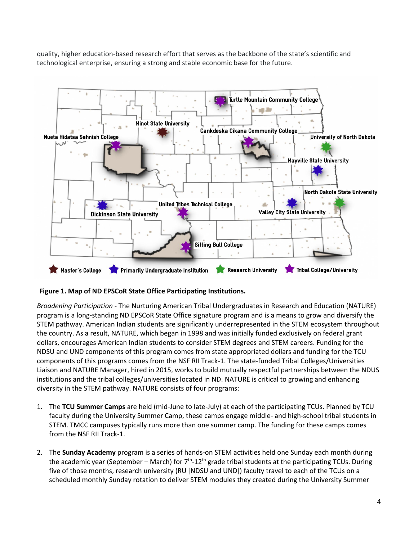quality, higher education-based research effort that serves as the backbone of the state's scientific and technological enterprise, ensuring a strong and stable economic base for the future.



# **Figure 1. Map of ND EPSCoR State Office Participating Institutions.**

*Broadening Participation* - The Nurturing American Tribal Undergraduates in Research and Education (NATURE) program is a long-standing ND EPSCoR State Office signature program and is a means to grow and diversify the STEM pathway. American Indian students are significantly underrepresented in the STEM ecosystem throughout the country. As a result, NATURE, which began in 1998 and was initially funded exclusively on federal grant dollars, encourages American Indian students to consider STEM degrees and STEM careers. Funding for the NDSU and UND components of this program comes from state appropriated dollars and funding for the TCU components of this programs comes from the NSF RII Track-1. The state-funded Tribal Colleges/Universities Liaison and NATURE Manager, hired in 2015, works to build mutually respectful partnerships between the NDUS institutions and the tribal colleges/universities located in ND. NATURE is critical to growing and enhancing diversity in the STEM pathway. NATURE consists of four programs:

- 1. The **TCU Summer Camps** are held (mid-June to late-July) at each of the participating TCUs. Planned by TCU faculty during the University Summer Camp, these camps engage middle- and high-school tribal students in STEM. TMCC campuses typically runs more than one summer camp. The funding for these camps comes from the NSF RII Track-1.
- 2. The **Sunday Academy** program is a series of hands-on STEM activities held one Sunday each month during the academic year (September – March) for  $7<sup>th</sup>$ -12<sup>th</sup> grade tribal students at the participating TCUs. During five of those months, research university (RU [NDSU and UND]) faculty travel to each of the TCUs on a scheduled monthly Sunday rotation to deliver STEM modules they created during the University Summer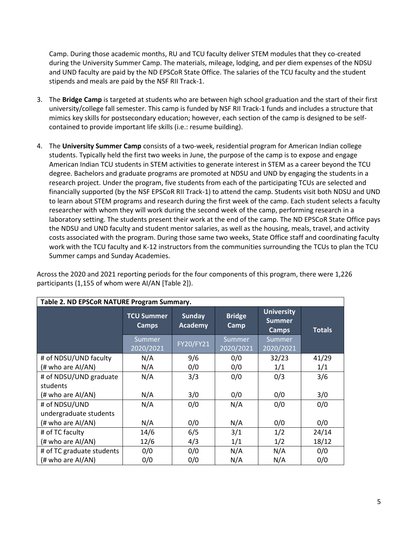Camp. During those academic months, RU and TCU faculty deliver STEM modules that they co-created during the University Summer Camp. The materials, mileage, lodging, and per diem expenses of the NDSU and UND faculty are paid by the ND EPSCoR State Office. The salaries of the TCU faculty and the student stipends and meals are paid by the NSF RII Track-1.

- 3. The **Bridge Camp** is targeted at students who are between high school graduation and the start of their first university/college fall semester. This camp is funded by NSF RII Track-1 funds and includes a structure that mimics key skills for postsecondary education; however, each section of the camp is designed to be selfcontained to provide important life skills (i.e.: resume building).
- 4. The **University Summer Camp** consists of a two-week, residential program for American Indian college students. Typically held the first two weeks in June, the purpose of the camp is to expose and engage American Indian TCU students in STEM activities to generate interest in STEM as a career beyond the TCU degree. Bachelors and graduate programs are promoted at NDSU and UND by engaging the students in a research project. Under the program, five students from each of the participating TCUs are selected and financially supported (by the NSF EPSCoR RII Track-1) to attend the camp. Students visit both NDSU and UND to learn about STEM programs and research during the first week of the camp. Each student selects a faculty researcher with whom they will work during the second week of the camp, performing research in a laboratory setting. The students present their work at the end of the camp. The ND EPSCoR State Office pays the NDSU and UND faculty and student mentor salaries, as well as the housing, meals, travel, and activity costs associated with the program. During those same two weeks, State Office staff and coordinating faculty work with the TCU faculty and K-12 instructors from the communities surrounding the TCUs to plan the TCU Summer camps and Sunday Academies.

Across the 2020 and 2021 reporting periods for the four components of this program, there were 1,226 participants (1,155 of whom were AI/AN [Table 2]).

| Table 2. ND EPSCoR NATURE Program Summary. |                                   |                                 |                       |                                                    |               |  |  |
|--------------------------------------------|-----------------------------------|---------------------------------|-----------------------|----------------------------------------------------|---------------|--|--|
|                                            | <b>TCU Summer</b><br><b>Camps</b> | <b>Sunday</b><br><b>Academy</b> | <b>Bridge</b><br>Camp | <b>University</b><br><b>Summer</b><br><b>Camps</b> | <b>Totals</b> |  |  |
|                                            | <b>Summer</b><br>2020/2021        | FY20/FY21                       | Summer<br>2020/2021   | Summer<br>2020/2021                                |               |  |  |
| # of NDSU/UND faculty                      | N/A                               | 9/6                             | 0/0                   | 32/23                                              | 41/29         |  |  |
| (# who are AI/AN)                          | N/A                               | 0/0                             | 0/0                   | 1/1                                                | 1/1           |  |  |
| # of NDSU/UND graduate                     | N/A                               | 3/3                             | 0/0                   | 0/3                                                | 3/6           |  |  |
| students                                   |                                   |                                 |                       |                                                    |               |  |  |
| (# who are AI/AN)                          | N/A                               | 3/0                             | 0/0                   | 0/0                                                | 3/0           |  |  |
| # of NDSU/UND                              | N/A                               | 0/0                             | N/A                   | 0/0                                                | 0/0           |  |  |
| undergraduate students                     |                                   |                                 |                       |                                                    |               |  |  |
| (# who are AI/AN)                          | N/A                               | 0/0                             | N/A                   | 0/0                                                | 0/0           |  |  |
| # of TC faculty                            | 14/6                              | 6/5                             | 3/1                   | 1/2                                                | 24/14         |  |  |
| (# who are AI/AN)                          | 12/6                              | 4/3                             | 1/1                   | 1/2                                                | 18/12         |  |  |
| # of TC graduate students                  | 0/0                               | 0/0                             | N/A                   | N/A                                                | 0/0           |  |  |
| (# who are AI/AN)                          | 0/0                               | 0/0                             | N/A                   | N/A                                                | 0/0           |  |  |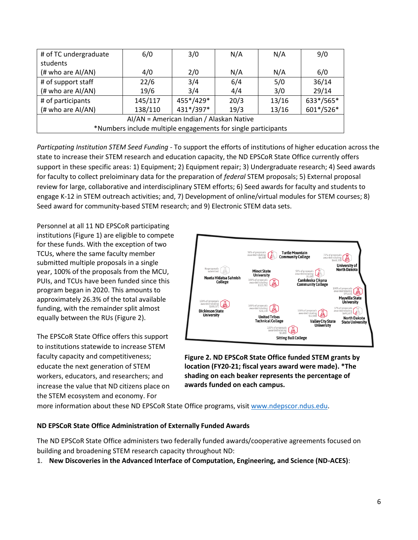| # of TC undergraduate                                         | 6/0     | 3/0       | N/A  | N/A   | 9/0       |  |
|---------------------------------------------------------------|---------|-----------|------|-------|-----------|--|
| students                                                      |         |           |      |       |           |  |
| (# who are AI/AN)                                             | 4/0     | 2/0       | N/A  | N/A   | 6/0       |  |
| # of support staff                                            | 22/6    | 3/4       | 6/4  | 5/0   | 36/14     |  |
| (# who are AI/AN)                                             | 19/6    | 3/4       | 4/4  | 3/0   | 29/14     |  |
| # of participants                                             | 145/117 | 455*/429* | 20/3 | 13/16 | 633*/565* |  |
| (# who are AI/AN)                                             | 138/110 | 431*/397* | 19/3 | 13/16 | 601*/526* |  |
| AI/AN = American Indian / Alaskan Native                      |         |           |      |       |           |  |
| *Numbers include multiple engagements for single participants |         |           |      |       |           |  |

*Particpating Institution STEM Seed Funding -* To support the efforts of institutions of higher education across the state to increase their STEM research and education capacity, the ND EPSCoR State Office currently offers support in these specific areas: 1) Equipment; 2) Equipment repair; 3) Undergraduate research; 4) Seed awards for faculty to collect preloiminary data for the preparation of *federal* STEM proposals; 5) External proposal review for large, collaborative and interdisciplinary STEM efforts; 6) Seed awards for faculty and students to engage K-12 in STEM outreach activities; and, 7) Development of online/virtual modules for STEM courses; 8) Seed award for community-based STEM research; and 9) Electronic STEM data sets.

Personnel at all 11 ND EPSCoR participating institutions (Figure 1) are eligible to compete for these funds. With the exception of two TCUs, where the same faculty member submitted multiple proposals in a single year, 100% of the proposals from the MCU, PUIs, and TCUs have been funded since this program began in 2020. This amounts to approximately 26.3% of the total available funding, with the remainder split almost equally between the RUs (Figure 2).

The EPSCoR State Office offers this support to institutions statewide to increase STEM faculty capacity and competitiveness; educate the next generation of STEM workers, educators, and researchers; and increase the value that ND citizens place on the STEM ecosystem and economy. For



**Figure 2. ND EPSCoR State Office funded STEM grants by location (FY20-21; fiscal years award were made). \*The shading on each beaker represents the percentage of awards funded on each campus.**

more information about these ND EPSCoR State Office programs, visit [www.ndepscor.ndus.edu.](http://www.ndepscor.ndus.edu/)

# **ND EPSCoR State Office Administration of Externally Funded Awards**

The ND EPSCoR State Office administers two federally funded awards/cooperative agreements focused on building and broadening STEM research capacity throughout ND:

1. **New Discoveries in the Advanced Interface of Computation, Engineering, and Science (ND-ACES)**: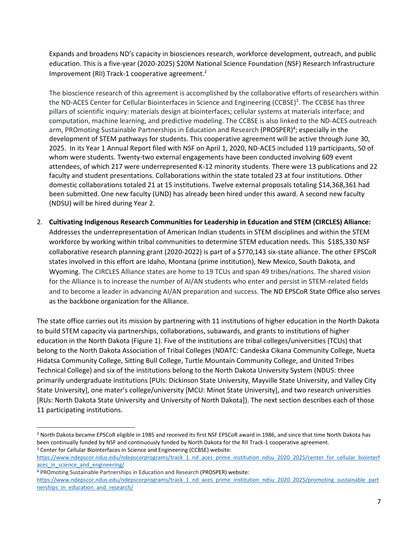Expands and broadens ND's capacity in biosciences research, workforce development, outreach, and public education. This is a five-year (2020-2025) \$20M National Science Foundation (NSF) Research Infrastructure Improvement (RII) Track-1 cooperative agreement.<sup>2</sup>

The bioscience research of this agreement is accomplished by the collaborative efforts of researchers within the ND-ACES Center for Cellular Biointerfaces in Science and Engineering (CCBSE)<sup>3</sup>. The CCBSE has three pillars of scientific inquiry: materials design at biointerfaces; cellular systems at materials interface; and computation, machine learning, and predictive modeling. The CCBSE is also linked to the ND-ACES outreach arm, PROmoting Sustainable Partnerships in Education and Research (PROSPER)<sup>4</sup>; especially in the development of STEM pathways for students. This cooperative agreement will be active through June 30, 2025. In its Year 1 Annual Report filed with NSF on April 1, 2020, ND-ACES included 119 participants, 50 of whom were students. Twenty-two external engagements have been conducted involving 609 event attendees, of which 217 were underrepresented K-12 minority students. There were 13 publications and 22 faculty and student presentations. Collaborations within the state totaled 23 at four institutions. Other domestic collaborations totaled 21 at 15 institutions. Twelve external proposals totaling \$14,368,361 had been submitted. One new faculty (UND) has already been hired under this award. A second new faculty (NDSU) will be hired during Year 2.

2. **Cultivating Indigenous Research Communities for Leadership in Education and STEM (CIRCLES) Alliance:** Addresses the underrepresentation of American Indian students in STEM disciplines and within the STEM workforce by working within tribal communities to determine STEM education needs. This \$185,330 NSF collaborative research planning grant (2020-2022) is part of a \$770,143 six-state alliance. The other EPSCoR states involved in this effort are Idaho, Montana (prime institution), New Mexico, South Dakota, and Wyoming. The CIRCLES Alliance states are home to 19 TCUs and span 49 tribes/nations. The shared vision for the Alliance is to increase the number of AI/AN students who enter and persist in STEM-related fields and to become a leader in advancing AI/AN preparation and success. The ND EPSCoR State Office also serves as the backbone organization for the Alliance.

The state office carries out its mission by partnering with 11 institutions of higher education in the North Dakota to build STEM capacity via partnerships, collaborations, subawards, and grants to institutions of higher education in the North Dakota (Figure 1). Five of the institutions are tribal colleges/universities (TCUs) that belong to the North Dakota Association of Tribal Colleges (NDATC: Candeska Cikana Community College, Nueta Hidatsa Community College, Sitting Bull College, Turtle Mountain Community College, and United Tribes Technical College) and six of the institutions belong to the North Dakota University System (NDUS: three primarily undergraduate institutions [PUIs: Dickinson State University, Mayville State University, and Valley City State University], one mater's college/university [MCU: Minot State University], and two research universities [RUs: North Dakota State University and University of North Dakota]). The next section describes each of those 11 participating institutions.

<sup>4</sup> PROmoting Sustainable Partnerships in Education and Research (PROSPER) website:

l

<sup>2</sup> North Dakota became EPSCoR eligible in 1985 and received its first NSF EPSCoR award in 1986, and since that time North Dakota has been continually funded by NSF and continuously funded by North Dakota for the RII Track-1 cooperative agreement. <sup>3</sup> Center for Cellular Biointerfaces in Science and Engineering (CCBSE) website:

[https://www.ndepscor.ndus.edu/ndepscorprograms/track\\_1\\_nd\\_aces\\_prime\\_institution\\_ndsu\\_2020\\_2025/center\\_for\\_cellular\\_biointerf](https://www.ndepscor.ndus.edu/ndepscorprograms/track_1_nd_aces_prime_institution_ndsu_2020_2025/center_for_cellular_biointerfaces_in_science_and_engineering/) aces in science and engineering/

[https://www.ndepscor.ndus.edu/ndepscorprograms/track\\_1\\_nd\\_aces\\_prime\\_institution\\_ndsu\\_2020\\_2025/promoting\\_sustainable\\_part](https://www.ndepscor.ndus.edu/ndepscorprograms/track_1_nd_aces_prime_institution_ndsu_2020_2025/promoting_sustainable_partnerships_in_education_and_research/) nerships in education and research/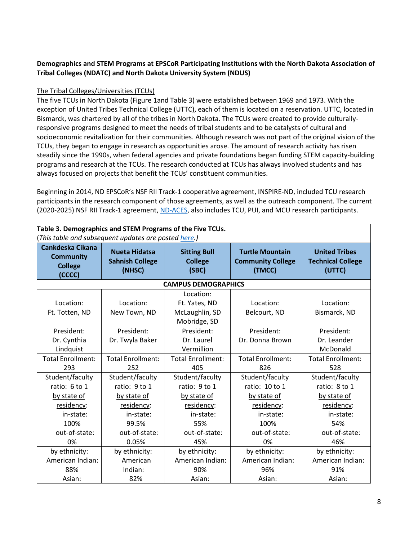# **Demographics and STEM Programs at EPSCoR Participating Institutions with the North Dakota Association of Tribal Colleges (NDATC) and North Dakota University System (NDUS)**

# The Tribal Colleges/Universities (TCUs)

The five TCUs in North Dakota (Figure 1and Table 3) were established between 1969 and 1973. With the exception of United Tribes Technical College (UTTC), each of them is located on a reservation. UTTC, located in Bismarck, was chartered by all of the tribes in North Dakota. The TCUs were created to provide culturallyresponsive programs designed to meet the needs of tribal students and to be catalysts of cultural and socioeconomic revitalization for their communities. Although research was not part of the original vision of the TCUs, they began to engage in research as opportunities arose. The amount of research activity has risen steadily since the 1990s, when federal agencies and private foundations began funding STEM capacity-building programs and research at the TCUs. The research conducted at TCUs has always involved students and has always focused on projects that benefit the TCUs' constituent communities.

Beginning in 2014, ND EPSCoR's NSF RII Track-1 cooperative agreement, INSPIRE-ND, included TCU research participants in the research component of those agreements, as well as the outreach component. The current (2020-2025) NSF RII Track-1 agreement[, ND-ACES,](https://www.ndepscor.ndus.edu/ndepscorprograms/track-1-nd-aces-prime-institution-ndsu/) also includes TCU, PUI, and MCU research participants.

|                                                                  |                                                                                                                                                                            |                                                              |                                                            | Table 3. Demographics and STEM Programs of the Five TCUs.<br>This table and subsequent updates are posted here.) |  |  |  |  |  |
|------------------------------------------------------------------|----------------------------------------------------------------------------------------------------------------------------------------------------------------------------|--------------------------------------------------------------|------------------------------------------------------------|------------------------------------------------------------------------------------------------------------------|--|--|--|--|--|
| Cankdeska Cikana<br><b>Community</b><br><b>College</b><br>(CCCC) | <b>Nueta Hidatsa</b><br><b>Turtle Mountain</b><br><b>Sitting Bull</b><br><b>Sahnish College</b><br><b>College</b><br><b>Community College</b><br>(NHSC)<br>(TMCC)<br>(SBC) |                                                              | <b>United Tribes</b><br><b>Technical College</b><br>(UTTC) |                                                                                                                  |  |  |  |  |  |
|                                                                  |                                                                                                                                                                            | <b>CAMPUS DEMOGRAPHICS</b>                                   |                                                            |                                                                                                                  |  |  |  |  |  |
| Location:<br>Ft. Totten, ND                                      | Location:<br>New Town, ND                                                                                                                                                  | Location:<br>Ft. Yates, ND<br>McLaughlin, SD<br>Mobridge, SD | Location:<br>Belcourt, ND                                  | Location:<br>Bismarck, ND                                                                                        |  |  |  |  |  |
| President:<br>Dr. Cynthia<br>Lindquist                           | President:<br>Dr. Twyla Baker                                                                                                                                              | President:<br>Dr. Laurel<br>Vermillion                       | President:<br>Dr. Donna Brown                              | President:<br>Dr. Leander<br>McDonald                                                                            |  |  |  |  |  |
| <b>Total Enrollment:</b><br>293                                  | <b>Total Enrollment:</b><br>252                                                                                                                                            | <b>Total Enrollment:</b><br>405                              | <b>Total Enrollment:</b><br>826                            | <b>Total Enrollment:</b><br>528                                                                                  |  |  |  |  |  |
| Student/faculty<br>ratio: 6 to 1                                 | Student/faculty<br>ratio: 9 to 1                                                                                                                                           | Student/faculty<br>ratio: 9 to 1                             | Student/faculty<br>ratio: 10 to 1                          | Student/faculty<br>ratio: 8 to 1                                                                                 |  |  |  |  |  |
| by state of<br>residency:<br>in-state:                           | by state of<br>residency:<br>in-state:                                                                                                                                     | by state of<br>residency:<br>in-state:                       | by state of<br>residency:<br>in-state:                     | by state of<br>residency:<br>in-state:                                                                           |  |  |  |  |  |
| 100%<br>out-of-state:                                            | 99.5%<br>out-of-state:                                                                                                                                                     | 55%<br>out-of-state:                                         | 100%<br>out-of-state:                                      | 54%<br>out-of-state:                                                                                             |  |  |  |  |  |
| 0%                                                               | 0.05%                                                                                                                                                                      | 45%                                                          | 0%                                                         | 46%                                                                                                              |  |  |  |  |  |
| by ethnicity:<br>American Indian:<br>88%<br>Asian:               | by ethnicity:<br>American<br>Indian:<br>82%                                                                                                                                | by ethnicity:<br>American Indian:<br>90%<br>Asian:           | by ethnicity:<br>American Indian:<br>96%<br>Asian:         | by ethnicity:<br>American Indian:<br>91%<br>Asian:                                                               |  |  |  |  |  |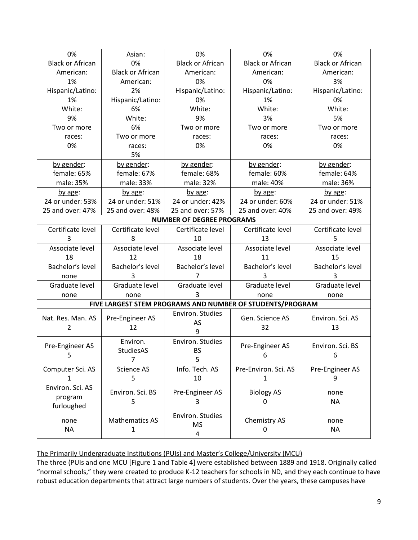| 0%                      | Asian:                     | 0%                               | 0%                                                        | 0%                      |
|-------------------------|----------------------------|----------------------------------|-----------------------------------------------------------|-------------------------|
| <b>Black or African</b> | 0%                         | <b>Black or African</b>          | <b>Black or African</b>                                   | <b>Black or African</b> |
| American:               | <b>Black or African</b>    | American:                        | American:                                                 | American:               |
| 1%                      | American:                  | 0%                               | 0%                                                        | 3%                      |
| Hispanic/Latino:        | 2%                         | Hispanic/Latino:                 | Hispanic/Latino:                                          | Hispanic/Latino:        |
| 1%                      | Hispanic/Latino:           | 0%                               | 1%                                                        | 0%                      |
| White:                  | 6%                         | White:                           | White:                                                    | White:                  |
| 9%                      | White:                     | 9%                               | 3%                                                        | 5%                      |
| Two or more             | 6%                         | Two or more                      | Two or more                                               | Two or more             |
| races:                  | Two or more                | races:                           | races:                                                    | races:                  |
| 0%                      | races:                     | 0%                               | 0%                                                        | 0%                      |
|                         | 5%                         |                                  |                                                           |                         |
| by gender:              | by gender:                 | by gender:                       | by gender:                                                | by gender:              |
| female: 65%             | female: 67%                | female: 68%                      | female: 60%                                               | female: 64%             |
| male: 35%               | male: 33%                  | male: 32%                        | male: 40%                                                 | male: 36%               |
| by age:                 | by age:                    | by age:                          | by age:                                                   | by age:                 |
| 24 or under: 53%        | 24 or under: 51%           | 24 or under: 42%                 | 24 or under: 60%                                          | 24 or under: 51%        |
| 25 and over: 47%        | 25 and over: 48%           | 25 and over: 57%                 | 25 and over: 40%                                          | 25 and over: 49%        |
|                         |                            | <b>NUMBER OF DEGREE PROGRAMS</b> |                                                           |                         |
| Certificate level       | Certificate level          | Certificate level                | Certificate level                                         | Certificate level       |
| 3                       | 8                          | 10                               | 13                                                        | 5                       |
| Associate level         | Associate level            | Associate level                  | Associate level                                           | Associate level         |
| 18                      | 12                         | 18                               |                                                           | 15                      |
|                         |                            |                                  | 11                                                        |                         |
| Bachelor's level        | Bachelor's level           | Bachelor's level                 | Bachelor's level                                          | Bachelor's level        |
| none                    | 3                          | $\overline{7}$                   | 3                                                         | 3                       |
| Graduate level          | Graduate level             | Graduate level                   | Graduate level                                            | Graduate level          |
| none                    | none                       | 3                                | none                                                      | none                    |
|                         |                            |                                  | FIVE LARGEST STEM PROGRAMS AND NUMBER OF STUDENTS/PROGRAM |                         |
| Nat. Res. Man. AS       | Pre-Engineer AS            | Environ. Studies                 | Gen. Science AS                                           | Environ. Sci. AS        |
| 2                       | 12                         | AS                               | 32                                                        | 13                      |
|                         |                            | 9                                |                                                           |                         |
| Pre-Engineer AS         | Environ.                   | Environ. Studies                 | Pre-Engineer AS                                           | Environ. Sci. BS        |
| 5                       | StudiesAS                  | <b>BS</b>                        | 6                                                         | 6                       |
|                         | $\overline{7}$             | 5                                |                                                           |                         |
| Computer Sci. AS        | Science AS                 | Info. Tech. AS                   | Pre-Environ. Sci. AS                                      | Pre-Engineer AS         |
| 1                       | 5                          | 10                               | $\mathbf{1}$                                              | 9                       |
| Environ. Sci. AS        |                            |                                  |                                                           |                         |
| program                 | Environ. Sci. BS           | Pre-Engineer AS                  | <b>Biology AS</b>                                         | none                    |
| furloughed              | 5                          | 3                                | 0                                                         | <b>NA</b>               |
|                         |                            | Environ. Studies                 |                                                           |                         |
| none                    |                            |                                  |                                                           |                         |
| <b>NA</b>               | <b>Mathematics AS</b><br>1 | <b>MS</b>                        | Chemistry AS<br>0                                         | none<br><b>NA</b>       |

# The Primarily Undergraduate Institutions (PUIs) and Master's College/University (MCU)

The three (PUIs and one MCU [Figure 1 and Table 4] were established between 1889 and 1918. Originally called "normal schools," they were created to produce K-12 teachers for schools in ND, and they each continue to have robust education departments that attract large numbers of students. Over the years, these campuses have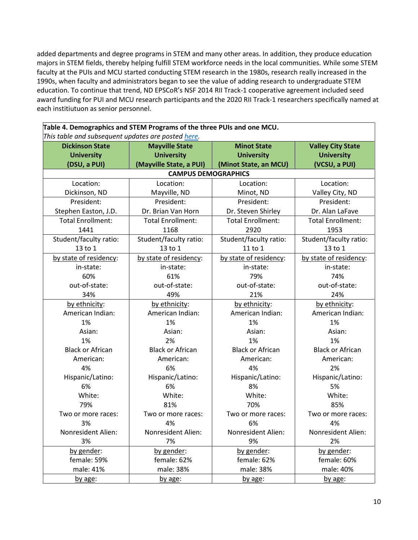added departments and degree programs in STEM and many other areas. In addition, they produce education majors in STEM fields, thereby helping fulfill STEM workforce needs in the local communities. While some STEM faculty at the PUIs and MCU started conducting STEM research in the 1980s, research really increased in the 1990s, when faculty and administrators began to see the value of adding research to undergraduate STEM education. To continue that trend, ND EPSCoR's NSF 2014 RII Track-1 cooperative agreement included seed award funding for PUI and MCU research participants and the 2020 RII Track-1 researchers specifically named at each institiutuon as senior personnel.

| Table 4. Demographics and STEM Programs of the three PUIs and one MCU. |  |  |  |  |
|------------------------------------------------------------------------|--|--|--|--|
| This table and subsequent updates are posted here.                     |  |  |  |  |
|                                                                        |  |  |  |  |

| <b>Dickinson State</b>   | <b>Mayville State</b>      | <b>Minot State</b>       | <b>Valley City State</b> |  |
|--------------------------|----------------------------|--------------------------|--------------------------|--|
| <b>University</b>        | <b>University</b>          | <b>University</b>        | <b>University</b>        |  |
| (DSU, a PUI)             | (Mayville State, a PUI)    | (Minot State, an MCU)    | (VCSU, a PUI)            |  |
|                          | <b>CAMPUS DEMOGRAPHICS</b> |                          |                          |  |
| Location:                | Location:                  | Location:                | Location:                |  |
| Dickinson, ND            | Mayville, ND               | Minot, ND                | Valley City, ND          |  |
| President:               | President:                 | President:               | President:               |  |
| Stephen Easton, J.D.     | Dr. Brian Van Horn         | Dr. Steven Shirley       | Dr. Alan LaFave          |  |
| <b>Total Enrollment:</b> | <b>Total Enrollment:</b>   | <b>Total Enrollment:</b> | <b>Total Enrollment:</b> |  |
| 1441                     | 1168                       | 2920                     | 1953                     |  |
| Student/faculty ratio:   | Student/faculty ratio:     | Student/faculty ratio:   | Student/faculty ratio:   |  |
| 13 to 1                  | 13 to 1                    | 11 to 1                  | 13 to 1                  |  |
| by state of residency:   | by state of residency:     | by state of residency:   | by state of residency:   |  |
| in-state:                | in-state:                  | in-state:                | in-state:                |  |
| 60%                      | 61%                        | 79%                      | 74%                      |  |
| out-of-state:            | out-of-state:              | out-of-state:            | out-of-state:            |  |
| 34%                      | 49%                        | 21%                      | 24%                      |  |
| by ethnicity:            | by ethnicity:              | by ethnicity:            | by ethnicity:            |  |
| American Indian:         | American Indian:           | American Indian:         | American Indian:         |  |
| 1%                       | 1%                         | 1%                       | 1%                       |  |
| Asian:                   | Asian:                     | Asian:                   | Asian:                   |  |
| 1%                       | 2%                         | 1%                       | 1%                       |  |
| <b>Black or African</b>  | <b>Black or African</b>    | <b>Black or African</b>  | <b>Black or African</b>  |  |
| American:                | American:                  | American:                | American:                |  |
| 4%                       | 6%                         | 4%                       | 2%                       |  |
| Hispanic/Latino:         | Hispanic/Latino:           | Hispanic/Latino:         | Hispanic/Latino:         |  |
| 6%                       | 6%                         | 8%                       | 5%                       |  |
| White:                   | White:                     | White:                   | White:                   |  |
| 79%                      | 81%                        | 70%                      | 85%                      |  |
| Two or more races:       | Two or more races:         | Two or more races:       | Two or more races:       |  |
| 3%                       | 4%                         | 6%                       | 4%                       |  |
| Nonresident Alien:       | Nonresident Alien:         | Nonresident Alien:       | Nonresident Alien:       |  |
| 3%                       | 7%                         | 9%                       | 2%                       |  |
| by gender:               | by gender:                 | by gender:               | by gender:               |  |
| female: 59%              | female: 62%                | female: 62%              | female: 60%              |  |
| male: 41%                | male: 38%                  | male: 38%                | male: 40%                |  |
| by age:                  | by age:                    | by age:                  | by age:                  |  |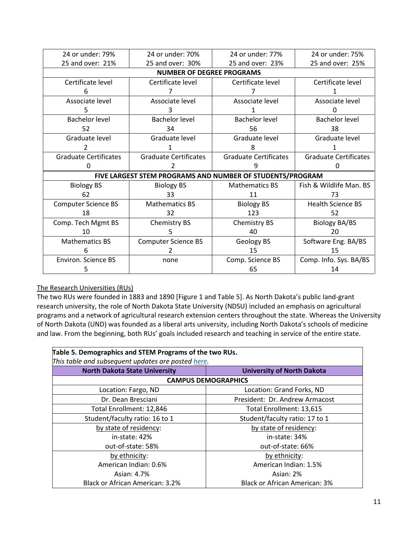| 24 or under: 79%             | 24 or under: 70%                                          | 24 or under: 77%             | 24 or under: 75%             |  |
|------------------------------|-----------------------------------------------------------|------------------------------|------------------------------|--|
| 25 and over: 21%             | 25 and over: 30%                                          | 25 and over: 23%             | 25 and over: 25%             |  |
|                              | <b>NUMBER OF DEGREE PROGRAMS</b>                          |                              |                              |  |
| Certificate level            | Certificate level                                         | Certificate level            | Certificate level            |  |
| 6                            |                                                           |                              |                              |  |
| Associate level              | Associate level                                           | Associate level              | Associate level              |  |
|                              |                                                           |                              |                              |  |
| <b>Bachelor level</b>        | <b>Bachelor level</b>                                     | <b>Bachelor level</b>        | Bachelor level               |  |
| 52                           | 34                                                        | 56                           | 38                           |  |
| Graduate level               | Graduate level                                            | Graduate level               | Graduate level               |  |
|                              |                                                           | 8                            |                              |  |
| <b>Graduate Certificates</b> | <b>Graduate Certificates</b>                              | <b>Graduate Certificates</b> | <b>Graduate Certificates</b> |  |
| 0                            |                                                           |                              |                              |  |
|                              | FIVE LARGEST STEM PROGRAMS AND NUMBER OF STUDENTS/PROGRAM |                              |                              |  |
| <b>Biology BS</b>            | <b>Biology BS</b>                                         | <b>Mathematics BS</b>        | Fish & Wildlife Man. BS      |  |
| 62                           | 33                                                        | 11                           | 73                           |  |
| <b>Computer Science BS</b>   | <b>Mathematics BS</b>                                     | <b>Biology BS</b>            | <b>Health Science BS</b>     |  |
| 18                           | 32                                                        | 123                          | 52                           |  |
| Comp. Tech Mgmt BS           | Chemistry BS                                              | Chemistry BS                 | <b>Biology BA/BS</b>         |  |
| 10                           |                                                           | 40                           | 20                           |  |
| <b>Mathematics BS</b>        | <b>Computer Science BS</b>                                | Geology BS                   | Software Eng. BA/BS          |  |
| 6                            |                                                           | 15                           | 15                           |  |
| Environ. Science BS          | none                                                      | Comp. Science BS             | Comp. Info. Sys. BA/BS       |  |
|                              |                                                           | 65                           | 14                           |  |

# The Research Universities (RUs)

The two RUs were founded in 1883 and 1890 [Figure 1 and Table 5]. As North Dakota's public land-grant research university, the role of North Dakota State University (NDSU) included an emphasis on agricultural programs and a network of agricultural research extension centers throughout the state. Whereas the University of North Dakota (UND) was founded as a liberal arts university, including North Dakota's schools of medicine and law. From the beginning, both RUs' goals included research and teaching in service of the entire state.

| Table 5. Demographics and STEM Programs of the two RUs.                   |                                      |  |  |  |
|---------------------------------------------------------------------------|--------------------------------------|--|--|--|
| This table and subsequent updates are posted here.                        |                                      |  |  |  |
| <b>North Dakota State University</b><br><b>University of North Dakota</b> |                                      |  |  |  |
|                                                                           | <b>CAMPUS DEMOGRAPHICS</b>           |  |  |  |
| Location: Fargo, ND                                                       | Location: Grand Forks, ND            |  |  |  |
| Dr. Dean Bresciani                                                        | President: Dr. Andrew Armacost       |  |  |  |
| Total Enrollment: 12,846                                                  | Total Enrollment: 13,615             |  |  |  |
| Student/faculty ratio: 16 to 1                                            | Student/faculty ratio: 17 to 1       |  |  |  |
| by state of residency:                                                    | by state of residency:               |  |  |  |
| in-state: 42%                                                             | in-state: 34%                        |  |  |  |
| out-of-state: 58%                                                         | out-of-state: 66%                    |  |  |  |
| by ethnicity:                                                             | by ethnicity:                        |  |  |  |
| American Indian: 0.6%                                                     | American Indian: 1.5%                |  |  |  |
| Asian: 4.7%                                                               | Asian: 2%                            |  |  |  |
| <b>Black or African American: 3.2%</b>                                    | <b>Black or African American: 3%</b> |  |  |  |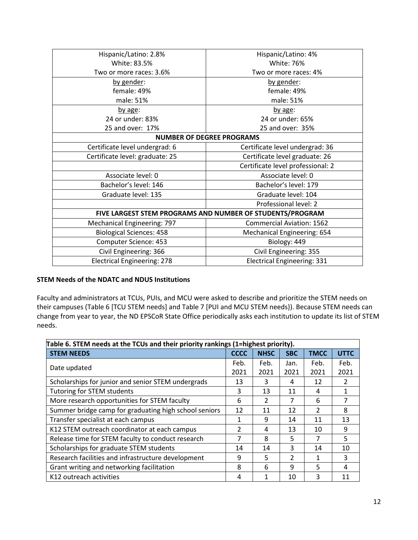| Hispanic/Latino: 2.8%              | Hispanic/Latino: 4%                                       |  |
|------------------------------------|-----------------------------------------------------------|--|
| White: 83.5%                       | White: 76%                                                |  |
| Two or more races: 3.6%            | Two or more races: 4%                                     |  |
| by gender:                         | by gender:                                                |  |
| female: 49%                        | female: 49%                                               |  |
| male: 51%                          | male: 51%                                                 |  |
| by age:                            | by age:                                                   |  |
| 24 or under: 83%                   | 24 or under: 65%                                          |  |
| 25 and over: 17%                   | 25 and over: 35%                                          |  |
|                                    | <b>NUMBER OF DEGREE PROGRAMS</b>                          |  |
| Certificate level undergrad: 6     | Certificate level undergrad: 36                           |  |
| Certificate level: graduate: 25    | Certificate level graduate: 26                            |  |
|                                    | Certificate level professional: 2                         |  |
| Associate level: 0                 | Associate level: 0                                        |  |
| Bachelor's level: 146              | Bachelor's level: 179                                     |  |
| Graduate level: 135                | Graduate level: 104                                       |  |
|                                    | Professional level: 2                                     |  |
|                                    | FIVE LARGEST STEM PROGRAMS AND NUMBER OF STUDENTS/PROGRAM |  |
| Mechanical Engineering: 797        | <b>Commercial Aviation: 1562</b>                          |  |
| <b>Biological Sciences: 458</b>    | <b>Mechanical Engineering: 654</b>                        |  |
| Computer Science: 453              | Biology: 449                                              |  |
| Civil Engineering: 366             | Civil Engineering: 355                                    |  |
| <b>Electrical Engineering: 278</b> | <b>Electrical Engineering: 331</b>                        |  |
|                                    |                                                           |  |

# **STEM Needs of the NDATC and NDUS Institutions**

Faculty and administrators at TCUs, PUIs, and MCU were asked to describe and prioritize the STEM needs on their campuses (Table 6 [TCU STEM needs] and Table 7 [PUI and MCU STEM needs}). Because STEM needs can change from year to year, the ND EPSCoR State Office periodically asks each institution to update its list of STEM needs.

| Table 6. STEM needs at the TCUs and their priority rankings (1=highest priority). |               |               |                |               |               |  |
|-----------------------------------------------------------------------------------|---------------|---------------|----------------|---------------|---------------|--|
| <b>STEM NEEDS</b>                                                                 | <b>CCCC</b>   | <b>NHSC</b>   | <b>SBC</b>     | <b>TMCC</b>   | <b>UTTC</b>   |  |
|                                                                                   | Feb.          | Feb.          | Jan.           | Feb.          | Feb.          |  |
| Date updated                                                                      | 2021          | 2021          | 2021           | 2021          | 2021          |  |
| Scholarships for junior and senior STEM undergrads                                | 13            | 3             | 4              | 12            | $\mathcal{P}$ |  |
| Tutoring for STEM students                                                        | 3             | 13            | 11             | 4             |               |  |
| More research opportunities for STEM faculty                                      | 6             | $\mathcal{P}$ | 7              | 6             |               |  |
| Summer bridge camp for graduating high school seniors                             | 12            | 11            | 12             | $\mathcal{P}$ | 8             |  |
| Transfer specialist at each campus                                                | 1             | 9             | 14             | 11            | 13            |  |
| K12 STEM outreach coordinator at each campus                                      | $\mathcal{P}$ | 4             | 13             | 10            | 9             |  |
| Release time for STEM faculty to conduct research                                 | 7             | 8             | 5              | 7             | 5             |  |
| Scholarships for graduate STEM students                                           | 14            | 14            | 3              | 14            | 10            |  |
| Research facilities and infrastructure development                                | 9             | 5             | $\mathfrak{D}$ | 1             | 3             |  |
| Grant writing and networking facilitation                                         | 8             | 6             | q              | 5             | 4             |  |
| K12 outreach activities                                                           | 4             |               | 10             | 3             | 11            |  |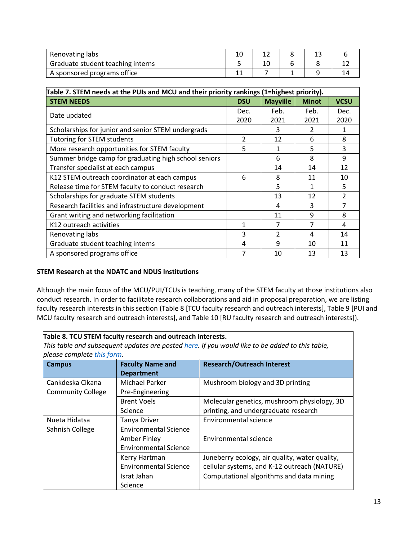| Renovating labs                   |  |  |  |
|-----------------------------------|--|--|--|
| Graduate student teaching interns |  |  |  |
| A sponsored programs office       |  |  |  |

| Table 7. STEM needs at the PUIs and MCU and their priority rankings (1=highest priority). |                          |                 |              |             |
|-------------------------------------------------------------------------------------------|--------------------------|-----------------|--------------|-------------|
| <b>STEM NEEDS</b>                                                                         | <b>DSU</b>               | <b>Mayville</b> | <b>Minot</b> | <b>VCSU</b> |
|                                                                                           | Dec.                     | Feb.            | Feb.         | Dec.        |
| Date updated                                                                              | 2020                     | 2021            | 2021         | 2020        |
| Scholarships for junior and senior STEM undergrads                                        |                          | 3               | 2            | 1           |
| <b>Tutoring for STEM students</b>                                                         | $\overline{\mathcal{L}}$ | 12              | 6            | 8           |
| More research opportunities for STEM faculty                                              | 5                        | $\mathbf{1}$    | 5            | 3           |
| Summer bridge camp for graduating high school seniors                                     |                          | 6               | 8            | 9           |
| Transfer specialist at each campus                                                        |                          | 14              | 14           | 12          |
| K12 STEM outreach coordinator at each campus                                              | 6                        | 8               | 11           | 10          |
| Release time for STEM faculty to conduct research                                         |                          | 5               | 1            | 5           |
| Scholarships for graduate STEM students                                                   |                          | 13              | 12           | 2           |
| Research facilities and infrastructure development                                        |                          | 4               | 3            | 7           |
| Grant writing and networking facilitation                                                 |                          | 11              | 9            | 8           |
| K12 outreach activities                                                                   | 1                        | 7               | 7            | 4           |
| Renovating labs                                                                           | 3                        | $\mathfrak{p}$  | 4            | 14          |
| Graduate student teaching interns                                                         | 4                        | 9               | 10           | 11          |
| A sponsored programs office                                                               | 7                        | 10              | 13           | 13          |

# **STEM Research at the NDATC and NDUS Institutions**

Although the main focus of the MCU/PUI/TCUs is teaching, many of the STEM faculty at those institutions also conduct research. In order to facilitate research collaborations and aid in proposal preparation, we are listing faculty research interests in this section (Table 8 [TCU faculty research and outreach interests], Table 9 [PUI and MCU faculty research and outreach interests], and Table 10 [RU faculty research and outreach interests]).

| Table 8. TCU STEM faculty research and outreach interests.                                      |                              |                                                |  |
|-------------------------------------------------------------------------------------------------|------------------------------|------------------------------------------------|--|
| This table and subsequent updates are posted here. If you would like to be added to this table, |                              |                                                |  |
| please complete this form.                                                                      |                              |                                                |  |
| <b>Campus</b>                                                                                   | <b>Faculty Name and</b>      | <b>Research/Outreach Interest</b>              |  |
|                                                                                                 | <b>Department</b>            |                                                |  |
| Cankdeska Cikana                                                                                | Michael Parker               | Mushroom biology and 3D printing               |  |
| <b>Community College</b>                                                                        | Pre-Engineering              |                                                |  |
|                                                                                                 | <b>Brent Voels</b>           | Molecular genetics, mushroom physiology, 3D    |  |
|                                                                                                 | Science                      | printing, and undergraduate research           |  |
| Nueta Hidatsa                                                                                   | Tanya Driver                 | <b>Environmental science</b>                   |  |
| Sahnish College                                                                                 | <b>Environmental Science</b> |                                                |  |
|                                                                                                 | Amber Finley                 | Environmental science                          |  |
|                                                                                                 | <b>Environmental Science</b> |                                                |  |
|                                                                                                 | Kerry Hartman                | Juneberry ecology, air quality, water quality, |  |
|                                                                                                 | <b>Environmental Science</b> | cellular systems, and K-12 outreach (NATURE)   |  |
|                                                                                                 | Israt Jahan                  | Computational algorithms and data mining       |  |
|                                                                                                 | Science                      |                                                |  |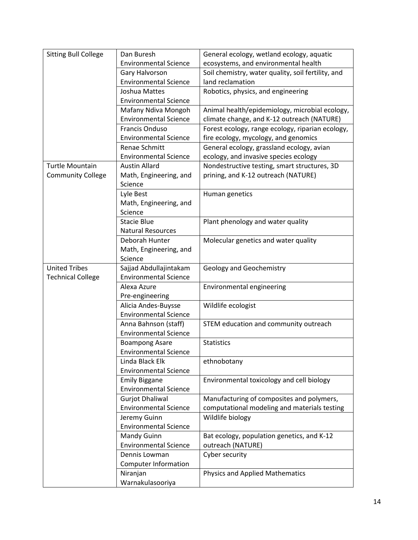| <b>Sitting Bull College</b> | Dan Buresh                   | General ecology, wetland ecology, aquatic          |
|-----------------------------|------------------------------|----------------------------------------------------|
|                             | <b>Environmental Science</b> | ecosystems, and environmental health               |
|                             | Gary Halvorson               | Soil chemistry, water quality, soil fertility, and |
|                             | <b>Environmental Science</b> | land reclamation                                   |
|                             | Joshua Mattes                | Robotics, physics, and engineering                 |
|                             | <b>Environmental Science</b> |                                                    |
|                             | Mafany Ndiva Mongoh          | Animal health/epidemiology, microbial ecology,     |
|                             | <b>Environmental Science</b> | climate change, and K-12 outreach (NATURE)         |
|                             | <b>Francis Onduso</b>        | Forest ecology, range ecology, riparian ecology,   |
|                             | <b>Environmental Science</b> | fire ecology, mycology, and genomics               |
|                             | Renae Schmitt                | General ecology, grassland ecology, avian          |
|                             | <b>Environmental Science</b> | ecology, and invasive species ecology              |
| <b>Turtle Mountain</b>      | <b>Austin Allard</b>         | Nondestructive testing, smart structures, 3D       |
| <b>Community College</b>    | Math, Engineering, and       | prining, and K-12 outreach (NATURE)                |
|                             | Science                      |                                                    |
|                             | Lyle Best                    | Human genetics                                     |
|                             | Math, Engineering, and       |                                                    |
|                             | Science                      |                                                    |
|                             | <b>Stacie Blue</b>           | Plant phenology and water quality                  |
|                             | <b>Natural Resources</b>     |                                                    |
|                             | Deborah Hunter               | Molecular genetics and water quality               |
|                             | Math, Engineering, and       |                                                    |
|                             | Science                      |                                                    |
| <b>United Tribes</b>        | Sajjad Abdullajintakam       | <b>Geology and Geochemistry</b>                    |
| <b>Technical College</b>    | <b>Environmental Science</b> |                                                    |
|                             | Alexa Azure                  | Environmental engineering                          |
|                             | Pre-engineering              |                                                    |
|                             | Alicia Andes-Buysse          | Wildlife ecologist                                 |
|                             | <b>Environmental Science</b> |                                                    |
|                             | Anna Bahnson (staff)         | STEM education and community outreach              |
|                             | <b>Environmental Science</b> |                                                    |
|                             | <b>Boampong Asare</b>        | <b>Statistics</b>                                  |
|                             | <b>Environmental Science</b> |                                                    |
|                             | Linda Black Elk              | ethnobotany                                        |
|                             | <b>Environmental Science</b> |                                                    |
|                             | <b>Emily Biggane</b>         | Environmental toxicology and cell biology          |
|                             | <b>Environmental Science</b> |                                                    |
|                             | <b>Gurjot Dhaliwal</b>       | Manufacturing of composites and polymers,          |
|                             | <b>Environmental Science</b> | computational modeling and materials testing       |
|                             | Jeremy Guinn                 | Wildlife biology                                   |
|                             | <b>Environmental Science</b> |                                                    |
|                             | Mandy Guinn                  | Bat ecology, population genetics, and K-12         |
|                             | <b>Environmental Science</b> | outreach (NATURE)                                  |
|                             | Dennis Lowman                | Cyber security                                     |
|                             | <b>Computer Information</b>  |                                                    |
|                             | Niranjan                     | <b>Physics and Applied Mathematics</b>             |
|                             | Warnakulasooriya             |                                                    |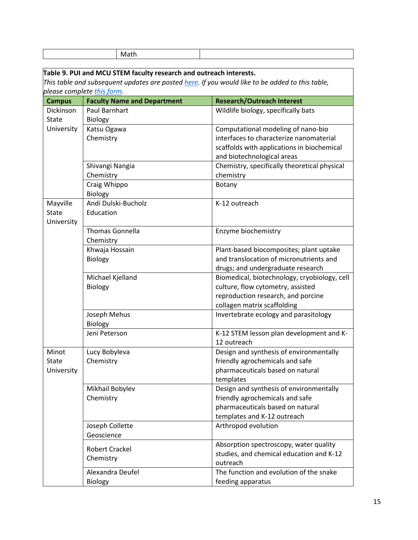|               | Math                                                               |                                                                                                 |
|---------------|--------------------------------------------------------------------|-------------------------------------------------------------------------------------------------|
|               | Table 9. PUI and MCU STEM faculty research and outreach interests. |                                                                                                 |
|               | please complete this form.                                         | This table and subsequent updates are posted here. If you would like to be added to this table, |
| <b>Campus</b> | <b>Faculty Name and Department</b>                                 | <b>Research/Outreach Interest</b>                                                               |
| Dickinson     | <b>Paul Barnhart</b>                                               | Wildlife biology, specifically bats                                                             |
| <b>State</b>  | <b>Biology</b>                                                     |                                                                                                 |
| University    | Katsu Ogawa                                                        | Computational modeling of nano-bio                                                              |
|               | Chemistry                                                          | interfaces to characterize nanomaterial                                                         |
|               |                                                                    | scaffolds with applications in biochemical                                                      |
|               |                                                                    | and biotechnological areas                                                                      |
|               | Shivangi Nangia                                                    | Chemistry, specifically theoretical physical                                                    |
|               | Chemistry                                                          | chemistry                                                                                       |
|               | Craig Whippo                                                       | Botany                                                                                          |
| Mayville      | Biology<br>Andi Dulski-Bucholz                                     | K-12 outreach                                                                                   |
| <b>State</b>  | Education                                                          |                                                                                                 |
| University    |                                                                    |                                                                                                 |
|               | <b>Thomas Gonnella</b>                                             | Enzyme biochemistry                                                                             |
|               | Chemistry                                                          |                                                                                                 |
|               | Khwaja Hossain                                                     | Plant-based biocomposites; plant uptake                                                         |
|               | Biology                                                            | and translocation of micronutrients and                                                         |
|               |                                                                    | drugs; and undergraduate research                                                               |
|               | Michael Kjelland                                                   | Biomedical, biotechnology, cryobiology, cell                                                    |
|               | <b>Biology</b>                                                     | culture, flow cytometry, assisted                                                               |
|               |                                                                    | reproduction research, and porcine                                                              |
|               |                                                                    | collagen matrix scaffolding                                                                     |
|               | Joseph Mehus                                                       | Invertebrate ecology and parasitology                                                           |
|               | Biology                                                            |                                                                                                 |
|               | Jeni Peterson                                                      | K-12 STEM lesson plan development and K-<br>12 outreach                                         |
| Minot         | Lucy Bobyleva                                                      | Design and synthesis of environmentally                                                         |
| <b>State</b>  | Chemistry                                                          | friendly agrochemicals and safe                                                                 |
| University    |                                                                    | pharmaceuticals based on natural                                                                |
|               |                                                                    | templates                                                                                       |
|               | Mikhail Bobylev                                                    | Design and synthesis of environmentally                                                         |
|               | Chemistry                                                          | friendly agrochemicals and safe<br>pharmaceuticals based on natural                             |
|               |                                                                    | templates and K-12 outreach                                                                     |
|               | Joseph Collette                                                    | Arthropod evolution                                                                             |
|               | Geoscience                                                         |                                                                                                 |
|               |                                                                    | Absorption spectroscopy, water quality                                                          |
|               | <b>Robert Crackel</b>                                              | studies, and chemical education and K-12                                                        |
|               | Chemistry                                                          | outreach                                                                                        |
|               | Alexandra Deufel                                                   | The function and evolution of the snake                                                         |
|               | Biology                                                            | feeding apparatus                                                                               |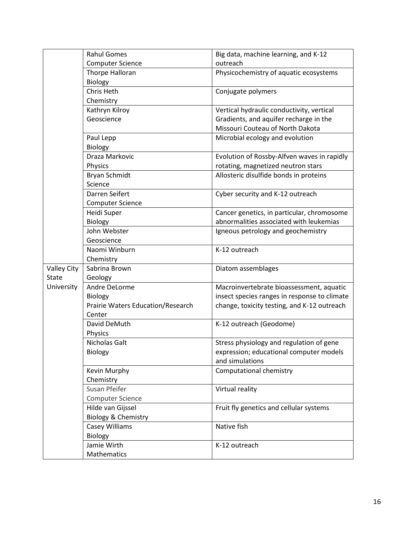|                    | <b>Rahul Gomes</b>                | Big data, machine learning, and K-12         |
|--------------------|-----------------------------------|----------------------------------------------|
|                    | <b>Computer Science</b>           | outreach                                     |
|                    | Thorpe Halloran                   | Physicochemistry of aquatic ecosystems       |
|                    | Biology                           |                                              |
|                    | Chris Heth                        | Conjugate polymers                           |
|                    | Chemistry                         |                                              |
|                    | Kathryn Kilroy                    | Vertical hydraulic conductivity, vertical    |
|                    | Geoscience                        | Gradients, and aquifer recharge in the       |
|                    |                                   | Missouri Couteau of North Dakota             |
|                    | Paul Lepp                         | Microbial ecology and evolution              |
|                    | <b>Biology</b>                    |                                              |
|                    | Draza Markovic                    | Evolution of Rossby-Alfven waves in rapidly  |
|                    | Physics                           | rotating, magnetized neutron stars           |
|                    | Bryan Schmidt                     | Allosteric disulfide bonds in proteins       |
|                    | Science                           |                                              |
|                    | Darren Seifert                    | Cyber security and K-12 outreach             |
|                    | <b>Computer Science</b>           |                                              |
|                    | Heidi Super                       | Cancer genetics, in particular, chromosome   |
|                    | Biology                           | abnormalities associated with leukemias      |
|                    | John Webster                      | Igneous petrology and geochemistry           |
|                    | Geoscience                        |                                              |
|                    | Naomi Winburn                     | K-12 outreach                                |
|                    | Chemistry                         |                                              |
| <b>Valley City</b> | Sabrina Brown                     | Diatom assemblages                           |
| <b>State</b>       | Geology                           |                                              |
| University         | Andre DeLorme                     | Macroinvertebrate bioassessment, aquatic     |
|                    | Biology                           | insect species ranges in response to climate |
|                    | Prairie Waters Education/Research | change, toxicity testing, and K-12 outreach  |
|                    | Center                            |                                              |
|                    | David DeMuth                      | K-12 outreach (Geodome)                      |
|                    | Physics                           |                                              |
|                    | Nicholas Galt                     | Stress physiology and regulation of gene     |
|                    | Biology                           | expression; educational computer models      |
|                    |                                   | and simulations                              |
|                    | Kevin Murphy                      | Computational chemistry                      |
|                    | Chemistry                         |                                              |
|                    | Susan Pfeifer                     | Virtual reality                              |
|                    | Computer Science                  |                                              |
|                    | Hilde van Gijssel                 | Fruit fly genetics and cellular systems      |
|                    | Biology & Chemistry               |                                              |
|                    | Casey Williams                    | Native fish                                  |
|                    | Biology                           |                                              |
|                    | Jamie Wirth                       | K-12 outreach                                |
|                    | Mathematics                       |                                              |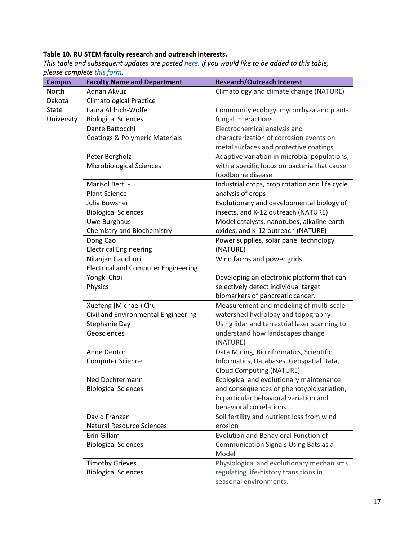# **Table 10. RU STEM faculty research and outreach interests.**

*This table and subsequent updates are posted [here.](https://www.ndepscor.ndus.edu/fileadmin/ndus/ndepscor/documents/RU_STEM_faculty_research_and_outreach_interests.pdf) If you would like to be added to this table, please complete [this form.](http://bit.ly/2NB6t50)*

|                                                      | <b>Research/Outreach Interest</b>                                                                                                                                                                                                                                                                                                                                                                                                                                                                                                                                                                                                                                                                                                                                                               |
|------------------------------------------------------|-------------------------------------------------------------------------------------------------------------------------------------------------------------------------------------------------------------------------------------------------------------------------------------------------------------------------------------------------------------------------------------------------------------------------------------------------------------------------------------------------------------------------------------------------------------------------------------------------------------------------------------------------------------------------------------------------------------------------------------------------------------------------------------------------|
|                                                      | Climatology and climate change (NATURE)                                                                                                                                                                                                                                                                                                                                                                                                                                                                                                                                                                                                                                                                                                                                                         |
|                                                      |                                                                                                                                                                                                                                                                                                                                                                                                                                                                                                                                                                                                                                                                                                                                                                                                 |
|                                                      | Community ecology, mycorrhyza and plant-                                                                                                                                                                                                                                                                                                                                                                                                                                                                                                                                                                                                                                                                                                                                                        |
|                                                      | fungal interactions                                                                                                                                                                                                                                                                                                                                                                                                                                                                                                                                                                                                                                                                                                                                                                             |
|                                                      | Electrochemical analysis and                                                                                                                                                                                                                                                                                                                                                                                                                                                                                                                                                                                                                                                                                                                                                                    |
|                                                      | characterization of corrosion events on                                                                                                                                                                                                                                                                                                                                                                                                                                                                                                                                                                                                                                                                                                                                                         |
|                                                      | metal surfaces and protective coatings                                                                                                                                                                                                                                                                                                                                                                                                                                                                                                                                                                                                                                                                                                                                                          |
|                                                      | Adaptive variation in microbial populations,                                                                                                                                                                                                                                                                                                                                                                                                                                                                                                                                                                                                                                                                                                                                                    |
|                                                      | with a specific focus on bacteria that cause                                                                                                                                                                                                                                                                                                                                                                                                                                                                                                                                                                                                                                                                                                                                                    |
|                                                      | foodborne disease                                                                                                                                                                                                                                                                                                                                                                                                                                                                                                                                                                                                                                                                                                                                                                               |
|                                                      | Industrial crops, crop rotation and life cycle                                                                                                                                                                                                                                                                                                                                                                                                                                                                                                                                                                                                                                                                                                                                                  |
|                                                      | analysis of crops                                                                                                                                                                                                                                                                                                                                                                                                                                                                                                                                                                                                                                                                                                                                                                               |
|                                                      | Evolutionary and developmental biology of                                                                                                                                                                                                                                                                                                                                                                                                                                                                                                                                                                                                                                                                                                                                                       |
|                                                      | insects, and K-12 outreach (NATURE)                                                                                                                                                                                                                                                                                                                                                                                                                                                                                                                                                                                                                                                                                                                                                             |
|                                                      | Model catalysts, nanotubes, alkaline earth                                                                                                                                                                                                                                                                                                                                                                                                                                                                                                                                                                                                                                                                                                                                                      |
|                                                      | oxides, and K-12 outreach (NATURE)                                                                                                                                                                                                                                                                                                                                                                                                                                                                                                                                                                                                                                                                                                                                                              |
|                                                      | Power supplies, solar panel technology                                                                                                                                                                                                                                                                                                                                                                                                                                                                                                                                                                                                                                                                                                                                                          |
|                                                      | (NATURE)                                                                                                                                                                                                                                                                                                                                                                                                                                                                                                                                                                                                                                                                                                                                                                                        |
|                                                      | Wind farms and power grids                                                                                                                                                                                                                                                                                                                                                                                                                                                                                                                                                                                                                                                                                                                                                                      |
|                                                      |                                                                                                                                                                                                                                                                                                                                                                                                                                                                                                                                                                                                                                                                                                                                                                                                 |
|                                                      | Developing an electronic platform that can                                                                                                                                                                                                                                                                                                                                                                                                                                                                                                                                                                                                                                                                                                                                                      |
|                                                      | selectively detect individual target                                                                                                                                                                                                                                                                                                                                                                                                                                                                                                                                                                                                                                                                                                                                                            |
|                                                      | biomarkers of pancreatic cancer.                                                                                                                                                                                                                                                                                                                                                                                                                                                                                                                                                                                                                                                                                                                                                                |
|                                                      | Measurement and modeling of multi-scale                                                                                                                                                                                                                                                                                                                                                                                                                                                                                                                                                                                                                                                                                                                                                         |
|                                                      | watershed hydrology and topography                                                                                                                                                                                                                                                                                                                                                                                                                                                                                                                                                                                                                                                                                                                                                              |
|                                                      | Using lidar and terrestrial laser scanning to                                                                                                                                                                                                                                                                                                                                                                                                                                                                                                                                                                                                                                                                                                                                                   |
|                                                      | understand how landscapes change                                                                                                                                                                                                                                                                                                                                                                                                                                                                                                                                                                                                                                                                                                                                                                |
|                                                      | (NATURE)                                                                                                                                                                                                                                                                                                                                                                                                                                                                                                                                                                                                                                                                                                                                                                                        |
|                                                      | Data Mining, Bioinformatics, Scientific                                                                                                                                                                                                                                                                                                                                                                                                                                                                                                                                                                                                                                                                                                                                                         |
|                                                      | Informatics, Databases, Geospatial Data,                                                                                                                                                                                                                                                                                                                                                                                                                                                                                                                                                                                                                                                                                                                                                        |
|                                                      | <b>Cloud Computing (NATURE)</b>                                                                                                                                                                                                                                                                                                                                                                                                                                                                                                                                                                                                                                                                                                                                                                 |
|                                                      | Ecological and evolutionary maintenance                                                                                                                                                                                                                                                                                                                                                                                                                                                                                                                                                                                                                                                                                                                                                         |
|                                                      | and consequences of phenotypic variation,                                                                                                                                                                                                                                                                                                                                                                                                                                                                                                                                                                                                                                                                                                                                                       |
|                                                      | in particular behavioral variation and<br>behavioral correlations.                                                                                                                                                                                                                                                                                                                                                                                                                                                                                                                                                                                                                                                                                                                              |
|                                                      |                                                                                                                                                                                                                                                                                                                                                                                                                                                                                                                                                                                                                                                                                                                                                                                                 |
|                                                      | Soil fertility and nutrient loss from wind                                                                                                                                                                                                                                                                                                                                                                                                                                                                                                                                                                                                                                                                                                                                                      |
|                                                      | erosion                                                                                                                                                                                                                                                                                                                                                                                                                                                                                                                                                                                                                                                                                                                                                                                         |
|                                                      |                                                                                                                                                                                                                                                                                                                                                                                                                                                                                                                                                                                                                                                                                                                                                                                                 |
| Erin Gillam                                          | Evolution and Behavioral Function of                                                                                                                                                                                                                                                                                                                                                                                                                                                                                                                                                                                                                                                                                                                                                            |
| <b>Biological Sciences</b>                           | Communication Signals Using Bats as a                                                                                                                                                                                                                                                                                                                                                                                                                                                                                                                                                                                                                                                                                                                                                           |
|                                                      | Model                                                                                                                                                                                                                                                                                                                                                                                                                                                                                                                                                                                                                                                                                                                                                                                           |
| <b>Timothy Grieves</b><br><b>Biological Sciences</b> | Physiological and evolutionary mechanisms<br>regulating life-history transitions in                                                                                                                                                                                                                                                                                                                                                                                                                                                                                                                                                                                                                                                                                                             |
|                                                      | <b>Faculty Name and Department</b><br>Adnan Akyuz<br><b>Climatological Practice</b><br>Laura Aldrich-Wolfe<br><b>Biological Sciences</b><br>Dante Battocchi<br><b>Coatings &amp; Polymeric Materials</b><br>Peter Bergholz<br><b>Microbiological Sciences</b><br>Marisol Berti -<br><b>Plant Science</b><br>Julia Bowsher<br><b>Biological Sciences</b><br>Uwe Burghaus<br>Chemistry and Biochemistry<br>Dong Cao<br><b>Electrical Engineering</b><br>Nilanjan Caudhuri<br><b>Electrical and Computer Engineering</b><br>Yongki Choi<br>Physics<br>Xuefeng (Michael) Chu<br>Civil and Environmental Engineering<br>Stephanie Day<br>Geosciences<br>Anne Denton<br><b>Computer Science</b><br>Ned Dochtermann<br><b>Biological Sciences</b><br>David Franzen<br><b>Natural Resource Sciences</b> |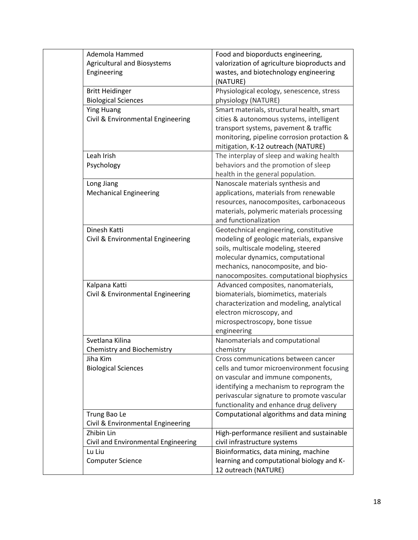| Ademola Hammed                      | Food and bioporducts engineering,           |
|-------------------------------------|---------------------------------------------|
| <b>Agricultural and Biosystems</b>  | valorization of agriculture bioproducts and |
| Engineering                         | wastes, and biotechnology engineering       |
|                                     | (NATURE)                                    |
| <b>Britt Heidinger</b>              | Physiological ecology, senescence, stress   |
| <b>Biological Sciences</b>          | physiology (NATURE)                         |
| <b>Ying Huang</b>                   | Smart materials, structural health, smart   |
| Civil & Environmental Engineering   | cities & autonomous systems, intelligent    |
|                                     | transport systems, pavement & traffic       |
|                                     | monitoring, pipeline corrosion protaction & |
|                                     | mitigation, K-12 outreach (NATURE)          |
| Leah Irish                          | The interplay of sleep and waking health    |
| Psychology                          | behaviors and the promotion of sleep        |
|                                     | health in the general population.           |
| Long Jiang                          | Nanoscale materials synthesis and           |
| <b>Mechanical Engineering</b>       | applications, materials from renewable      |
|                                     | resources, nanocomposites, carbonaceous     |
|                                     | materials, polymeric materials processing   |
|                                     | and functionalization                       |
| Dinesh Katti                        | Geotechnical engineering, constitutive      |
| Civil & Environmental Engineering   | modeling of geologic materials, expansive   |
|                                     | soils, multiscale modeling, steered         |
|                                     | molecular dynamics, computational           |
|                                     | mechanics, nanocomposite, and bio-          |
|                                     | nanocomposites. computational biophysics    |
| Kalpana Katti                       | Advanced composites, nanomaterials,         |
| Civil & Environmental Engineering   | biomaterials, biomimetics, materials        |
|                                     | characterization and modeling, analytical   |
|                                     | electron microscopy, and                    |
|                                     | microspectroscopy, bone tissue              |
|                                     | engineering                                 |
| Svetlana Kilina                     | Nanomaterials and computational             |
| Chemistry and Biochemistry          | chemistry                                   |
| Jiha Kim                            | Cross communications between cancer         |
| <b>Biological Sciences</b>          | cells and tumor microenvironment focusing   |
|                                     | on vascular and immune components,          |
|                                     | identifying a mechanism to reprogram the    |
|                                     | perivascular signature to promote vascular  |
|                                     | functionality and enhance drug delivery     |
| Trung Bao Le                        | Computational algorithms and data mining    |
| Civil & Environmental Engineering   |                                             |
| Zhibin Lin                          | High-performance resilient and sustainable  |
| Civil and Environmental Engineering | civil infrastructure systems                |
| Lu Liu                              | Bioinformatics, data mining, machine        |
| <b>Computer Science</b>             | learning and computational biology and K-   |
|                                     | 12 outreach (NATURE)                        |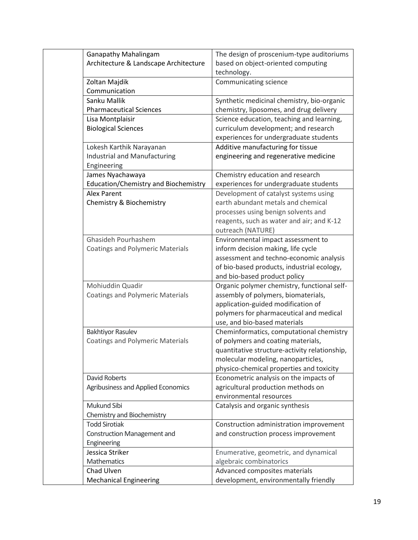| <b>Ganapathy Mahalingam</b>             | The design of proscenium-type auditoriums     |
|-----------------------------------------|-----------------------------------------------|
| Architecture & Landscape Architecture   | based on object-oriented computing            |
|                                         | technology.                                   |
| Zoltan Majdik                           | Communicating science                         |
| Communication                           |                                               |
| Sanku Mallik                            | Synthetic medicinal chemistry, bio-organic    |
| <b>Pharmaceutical Sciences</b>          | chemistry, liposomes, and drug delivery       |
| Lisa Montplaisir                        | Science education, teaching and learning,     |
| <b>Biological Sciences</b>              | curriculum development; and research          |
|                                         | experiences for undergraduate students        |
| Lokesh Karthik Narayanan                | Additive manufacturing for tissue             |
| Industrial and Manufacturing            | engineering and regenerative medicine         |
| Engineering                             |                                               |
| James Nyachawaya                        | Chemistry education and research              |
| Education/Chemistry and Biochemistry    | experiences for undergraduate students        |
| <b>Alex Parent</b>                      | Development of catalyst systems using         |
| Chemistry & Biochemistry                | earth abundant metals and chemical            |
|                                         | processes using benign solvents and           |
|                                         | reagents, such as water and air; and K-12     |
|                                         | outreach (NATURE)                             |
| Ghasideh Pourhashem                     | Environmental impact assessment to            |
| <b>Coatings and Polymeric Materials</b> | inform decision making, life cycle            |
|                                         | assessment and techno-economic analysis       |
|                                         | of bio-based products, industrial ecology,    |
|                                         | and bio-based product policy                  |
| Mohiuddin Quadir                        | Organic polymer chemistry, functional self-   |
| <b>Coatings and Polymeric Materials</b> | assembly of polymers, biomaterials,           |
|                                         | application-guided modification of            |
|                                         | polymers for pharmaceutical and medical       |
|                                         | use, and bio-based materials                  |
| <b>Bakhtiyor Rasulev</b>                | Cheminformatics, computational chemistry      |
| <b>Coatings and Polymeric Materials</b> | of polymers and coating materials,            |
|                                         | quantitative structure-activity relationship, |
|                                         | molecular modeling, nanoparticles,            |
|                                         | physico-chemical properties and toxicity      |
| <b>David Roberts</b>                    | Econometric analysis on the impacts of        |
| Agribusiness and Applied Economics      | agricultural production methods on            |
|                                         | environmental resources                       |
| Mukund Sibi                             | Catalysis and organic synthesis               |
| Chemistry and Biochemistry              |                                               |
| <b>Todd Sirotiak</b>                    | Construction administration improvement       |
| <b>Construction Management and</b>      | and construction process improvement          |
| Engineering                             |                                               |
| Jessica Striker                         | Enumerative, geometric, and dynamical         |
| Mathematics                             | algebraic combinatorics                       |
| Chad Ulven                              | Advanced composites materials                 |
| <b>Mechanical Engineering</b>           | development, environmentally friendly         |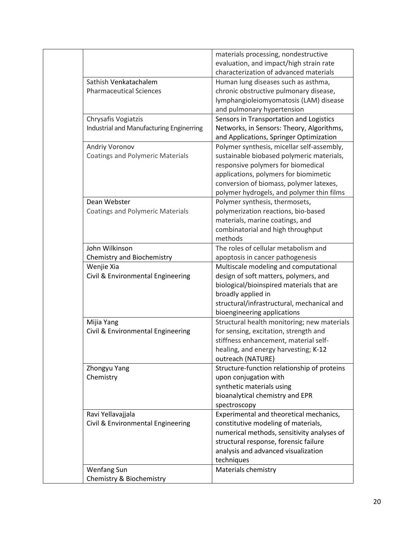|                                          | materials processing, nondestructive        |
|------------------------------------------|---------------------------------------------|
|                                          | evaluation, and impact/high strain rate     |
|                                          | characterization of advanced materials      |
| Sathish Venkatachalem                    | Human lung diseases such as asthma,         |
| <b>Pharmaceutical Sciences</b>           | chronic obstructive pulmonary disease,      |
|                                          | lymphangioleiomyomatosis (LAM) disease      |
|                                          | and pulmonary hypertension                  |
| Chrysafis Vogiatzis                      | Sensors in Transportation and Logistics     |
| Industrial and Manufacturing Enginerring | Networks, in Sensors: Theory, Algorithms,   |
|                                          | and Applications, Springer Optimization     |
| Andriy Voronov                           | Polymer synthesis, micellar self-assembly,  |
| <b>Coatings and Polymeric Materials</b>  | sustainable biobased polymeric materials,   |
|                                          | responsive polymers for biomedical          |
|                                          | applications, polymers for biomimetic       |
|                                          | conversion of biomass, polymer latexes,     |
|                                          | polymer hydrogels, and polymer thin films   |
| Dean Webster                             | Polymer synthesis, thermosets,              |
| <b>Coatings and Polymeric Materials</b>  | polymerization reactions, bio-based         |
|                                          | materials, marine coatings, and             |
|                                          |                                             |
|                                          | combinatorial and high throughput           |
|                                          | methods                                     |
| John Wilkinson                           | The roles of cellular metabolism and        |
| Chemistry and Biochemistry               | apoptosis in cancer pathogenesis            |
| Wenjie Xia                               | Multiscale modeling and computational       |
| Civil & Environmental Engineering        | design of soft matters, polymers, and       |
|                                          | biological/bioinspired materials that are   |
|                                          | broadly applied in                          |
|                                          | structural/infrastructural, mechanical and  |
|                                          | bioengineering applications                 |
| Mijia Yang                               | Structural health monitoring; new materials |
| Civil & Environmental Engineering        | for sensing, excitation, strength and       |
|                                          | stiffness enhancement, material self-       |
|                                          | healing, and energy harvesting; K-12        |
|                                          | outreach (NATURE)                           |
| Zhongyu Yang                             | Structure-function relationship of proteins |
| Chemistry                                | upon conjugation with                       |
|                                          | synthetic materials using                   |
|                                          | bioanalytical chemistry and EPR             |
|                                          | spectroscopy                                |
| Ravi Yellavajjala                        | Experimental and theoretical mechanics,     |
| Civil & Environmental Engineering        | constitutive modeling of materials,         |
|                                          | numerical methods, sensitivity analyses of  |
|                                          | structural response, forensic failure       |
|                                          | analysis and advanced visualization         |
|                                          |                                             |
|                                          | techniques                                  |
| <b>Wenfang Sun</b>                       | Materials chemistry                         |
| Chemistry & Biochemistry                 |                                             |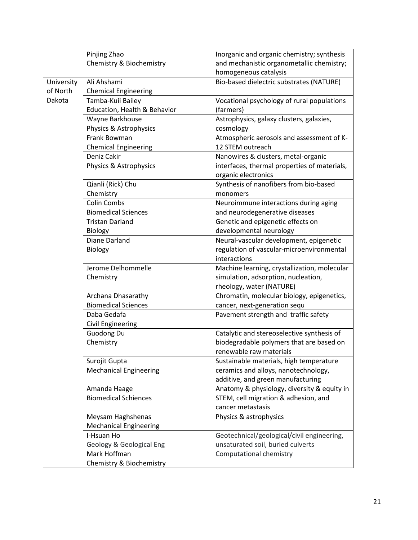|            | Pinjing Zhao                  | Inorganic and organic chemistry; synthesis   |
|------------|-------------------------------|----------------------------------------------|
|            | Chemistry & Biochemistry      | and mechanistic organometallic chemistry;    |
|            |                               | homogeneous catalysis                        |
| University | Ali Ahshami                   | Bio-based dielectric substrates (NATURE)     |
| of North   | <b>Chemical Engineering</b>   |                                              |
| Dakota     | Tamba-Kuii Bailey             | Vocational psychology of rural populations   |
|            | Education, Health & Behavior  | (farmers)                                    |
|            | Wayne Barkhouse               | Astrophysics, galaxy clusters, galaxies,     |
|            | Physics & Astrophysics        | cosmology                                    |
|            | <b>Frank Bowman</b>           | Atmospheric aerosols and assessment of K-    |
|            | <b>Chemical Engineering</b>   | 12 STEM outreach                             |
|            | Deniz Cakir                   | Nanowires & clusters, metal-organic          |
|            | Physics & Astrophysics        | interfaces, thermal properties of materials, |
|            |                               | organic electronics                          |
|            | Qianli (Rick) Chu             | Synthesis of nanofibers from bio-based       |
|            | Chemistry                     | monomers                                     |
|            | <b>Colin Combs</b>            | Neuroimmune interactions during aging        |
|            | <b>Biomedical Sciences</b>    | and neurodegenerative diseases               |
|            | <b>Tristan Darland</b>        | Genetic and epigenetic effects on            |
|            | Biology                       | developmental neurology                      |
|            | Diane Darland                 | Neural-vascular development, epigenetic      |
|            | <b>Biology</b>                | regulation of vascular-microenvironmental    |
|            |                               | interactions                                 |
|            | Jerome Delhommelle            | Machine learning, crystallization, molecular |
|            | Chemistry                     | simulation, adsorption, nucleation,          |
|            |                               | rheology, water (NATURE)                     |
|            | Archana Dhasarathy            | Chromatin, molecular biology, epigenetics,   |
|            | <b>Biomedical Sciences</b>    | cancer, next-generation sequ                 |
|            | Daba Gedafa                   | Pavement strength and traffic safety         |
|            | <b>Civil Engineering</b>      |                                              |
|            | <b>Guodong Du</b>             | Catalytic and stereoselective synthesis of   |
|            | Chemistry                     | biodegradable polymers that are based on     |
|            |                               | renewable raw materials                      |
|            | Surojit Gupta                 | Sustainable materials, high temperature      |
|            | <b>Mechanical Engineering</b> | ceramics and alloys, nanotechnology,         |
|            |                               | additive, and green manufacturing            |
|            | Amanda Haage                  | Anatomy & physiology, diversity & equity in  |
|            | <b>Biomedical Schiences</b>   | STEM, cell migration & adhesion, and         |
|            |                               | cancer metastasis                            |
|            | Meysam Haghshenas             | Physics & astrophysics                       |
|            | <b>Mechanical Engineering</b> |                                              |
|            | I-Hsuan Ho                    | Geotechnical/geological/civil engineering,   |
|            | Geology & Geological Eng      | unsaturated soil, buried culverts            |
|            | Mark Hoffman                  | Computational chemistry                      |
|            | Chemistry & Biochemistry      |                                              |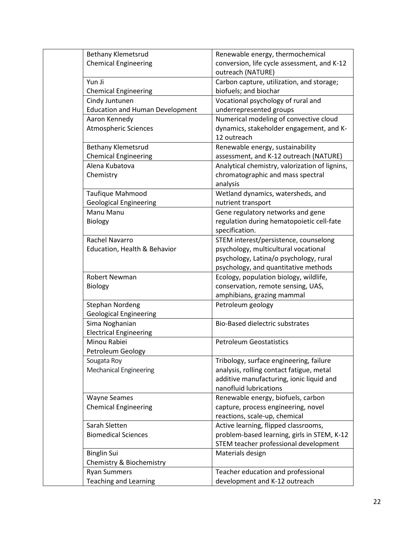| <b>Bethany Klemetsrud</b>              | Renewable energy, thermochemical               |
|----------------------------------------|------------------------------------------------|
| <b>Chemical Engineering</b>            | conversion, life cycle assessment, and K-12    |
|                                        | outreach (NATURE)                              |
| Yun Ji                                 | Carbon capture, utilization, and storage;      |
| <b>Chemical Engineering</b>            | biofuels; and biochar                          |
| Cindy Juntunen                         | Vocational psychology of rural and             |
| <b>Education and Human Development</b> | underrepresented groups                        |
| Aaron Kennedy                          | Numerical modeling of convective cloud         |
| <b>Atmospheric Sciences</b>            | dynamics, stakeholder engagement, and K-       |
|                                        | 12 outreach                                    |
| <b>Bethany Klemetsrud</b>              | Renewable energy, sustainability               |
| <b>Chemical Engineering</b>            | assessment, and K-12 outreach (NATURE)         |
| Alena Kubatova                         | Analytical chemistry, valorization of lignins, |
| Chemistry                              | chromatographic and mass spectral              |
|                                        | analysis                                       |
| Taufique Mahmood                       | Wetland dynamics, watersheds, and              |
| <b>Geological Engineering</b>          | nutrient transport                             |
| Manu Manu                              | Gene regulatory networks and gene              |
| Biology                                | regulation during hematopoietic cell-fate      |
|                                        | specification.                                 |
| Rachel Navarro                         | STEM interest/persistence, counselong          |
| Education, Health & Behavior           | psychology, multicultural vocational           |
|                                        | psychology, Latina/o psychology, rural         |
|                                        | psychology, and quantitative methods           |
| <b>Robert Newman</b>                   | Ecology, population biology, wildlife,         |
| <b>Biology</b>                         | conservation, remote sensing, UAS,             |
|                                        | amphibians, grazing mammal                     |
| Stephan Nordeng                        | Petroleum geology                              |
| <b>Geological Engineering</b>          |                                                |
| Sima Noghanian                         | <b>Bio-Based dielectric substrates</b>         |
| <b>Electrical Engineering</b>          |                                                |
| Minou Rabiei                           | <b>Petroleum Geostatistics</b>                 |
| Petroleum Geology                      |                                                |
| Sougata Roy                            | Tribology, surface engineering, failure        |
| <b>Mechanical Engineering</b>          | analysis, rolling contact fatigue, metal       |
|                                        | additive manufacturing, ionic liquid and       |
|                                        | nanofluid lubrications                         |
| <b>Wayne Seames</b>                    | Renewable energy, biofuels, carbon             |
| <b>Chemical Engineering</b>            | capture, process engineering, novel            |
|                                        | reactions, scale-up, chemical                  |
| Sarah Sletten                          | Active learning, flipped classrooms,           |
| <b>Biomedical Sciences</b>             | problem-based learning, girls in STEM, K-12    |
|                                        | STEM teacher professional development          |
| <b>Binglin Sui</b>                     | Materials design                               |
| Chemistry & Biochemistry               |                                                |
| <b>Ryan Summers</b>                    | Teacher education and professional             |
| <b>Teaching and Learning</b>           | development and K-12 outreach                  |
|                                        |                                                |